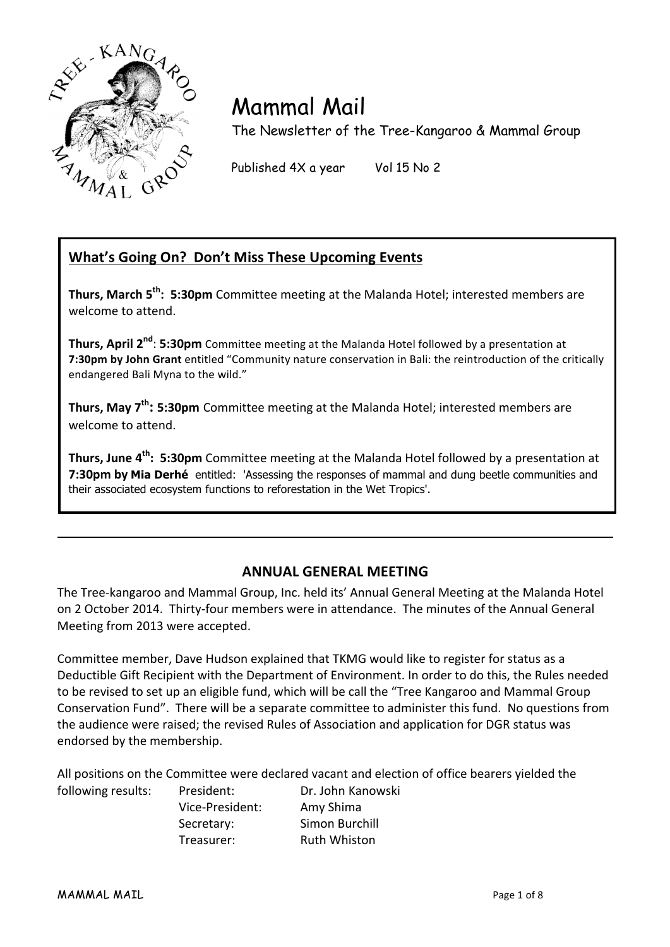

# Mammal Mail

The Newsletter of the Tree-Kangaroo & Mammal Group

Published 4X a year Vol 15 No 2

# **What's Going On? Don't Miss These Upcoming Events**

**Thurs, March 5<sup>th</sup>: 5:30pm** Committee meeting at the Malanda Hotel; interested members are welcome to attend.

**Thurs, April 2<sup>nd</sup>: 5:30pm** Committee meeting at the Malanda Hotel followed by a presentation at **7:30pm by John Grant** entitled "Community nature conservation in Bali: the reintroduction of the critically endangered Bali Myna to the wild."

**Thurs, May 7<sup>th</sup>: 5:30pm** Committee meeting at the Malanda Hotel; interested members are welcome to attend.

**Thurs, June 4<sup>th</sup>: 5:30pm** Committee meeting at the Malanda Hotel followed by a presentation at **7:30pm by Mia Derhé** entitled: 'Assessing the responses of mammal and dung beetle communities and their associated ecosystem functions to reforestation in the Wet Tropics'.

# **ANNUAL GENERAL MEETING**

The Tree-kangaroo and Mammal Group, Inc. held its' Annual General Meeting at the Malanda Hotel on 2 October 2014. Thirty-four members were in attendance. The minutes of the Annual General Meeting from 2013 were accepted.

Committee member, Dave Hudson explained that TKMG would like to register for status as a Deductible Gift Recipient with the Department of Environment. In order to do this, the Rules needed to be revised to set up an eligible fund, which will be call the "Tree Kangaroo and Mammal Group Conservation Fund". There will be a separate committee to administer this fund. No questions from the audience were raised; the revised Rules of Association and application for DGR status was endorsed by the membership.

All positions on the Committee were declared vacant and election of office bearers yielded the

following results: President: Dr. John Kanowski Vice-President: Amy Shima Secretary: Simon Burchill Treasurer: Ruth Whiston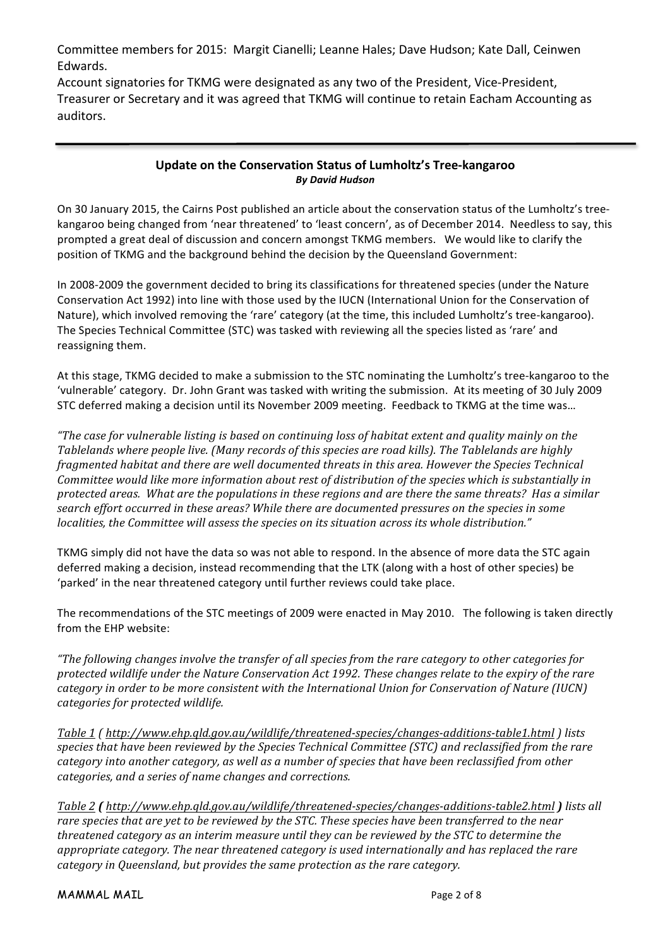Committee members for 2015: Margit Cianelli; Leanne Hales; Dave Hudson; Kate Dall, Ceinwen Edwards.

Account signatories for TKMG were designated as any two of the President, Vice-President, Treasurer or Secretary and it was agreed that TKMG will continue to retain Eacham Accounting as auditors.

#### **Update on the Conservation Status of Lumholtz's Tree-kangaroo** *By David Hudson*

On 30 January 2015, the Cairns Post published an article about the conservation status of the Lumholtz's treekangaroo being changed from 'near threatened' to 'least concern', as of December 2014. Needless to say, this prompted a great deal of discussion and concern amongst TKMG members. We would like to clarify the position of TKMG and the background behind the decision by the Queensland Government:

In 2008-2009 the government decided to bring its classifications for threatened species (under the Nature Conservation Act 1992) into line with those used by the IUCN (International Union for the Conservation of Nature), which involved removing the 'rare' category (at the time, this included Lumholtz's tree-kangaroo). The Species Technical Committee (STC) was tasked with reviewing all the species listed as 'rare' and reassigning them.

At this stage, TKMG decided to make a submission to the STC nominating the Lumholtz's tree-kangaroo to the 'vulnerable' category. Dr. John Grant was tasked with writing the submission. At its meeting of 30 July 2009 STC deferred making a decision until its November 2009 meeting. Feedback to TKMG at the time was...

"The case for vulnerable listing is based on continuing loss of habitat extent and quality mainly on the Tablelands where people live. (Many records of this species are road kills). The Tablelands are highly *fragmented habitat and there are well documented threats in this area. However the Species Technical Committee* would like more information about rest of distribution of the species which is substantially in *protected areas.* What are the populations in these regions and are there the same threats? Has a similar search effort occurred in these areas? While there are documented pressures on the species in some *localities, the Committee will assess the species on its situation across its whole distribution."* 

TKMG simply did not have the data so was not able to respond. In the absence of more data the STC again deferred making a decision, instead recommending that the LTK (along with a host of other species) be 'parked' in the near threatened category until further reviews could take place.

The recommendations of the STC meetings of 2009 were enacted in May 2010. The following is taken directly from the EHP website:

"The following changes involve the transfer of all species from the rare category to other categories for *protected wildlife under the Nature Conservation Act 1992. These changes relate to the expiry of the rare category in order to be more consistent with the International Union for Conservation of Nature (IUCN) categories for protected wildlife.*

*Table 1 ( http://www.ehp.qld.gov.au/wildlife/threatened-species/changes-additions-table1.html ) lists*  species that have been reviewed by the Species Technical Committee (STC) and reclassified from the rare *category into another category, as well as a number of species that have been reclassified from other categories, and a series of name changes and corrections.* 

*Table 2 (http://www.ehp.qld.gov.au/wildlife/threatened-species/changes-additions-table2.html) lists all* rare species that are yet to be reviewed by the STC. These species have been transferred to the near *threatened category as an interim measure until they can be reviewed by the STC to determine the appropriate category. The near threatened category is used internationally and has replaced the rare category in Queensland, but provides the same protection as the rare category.*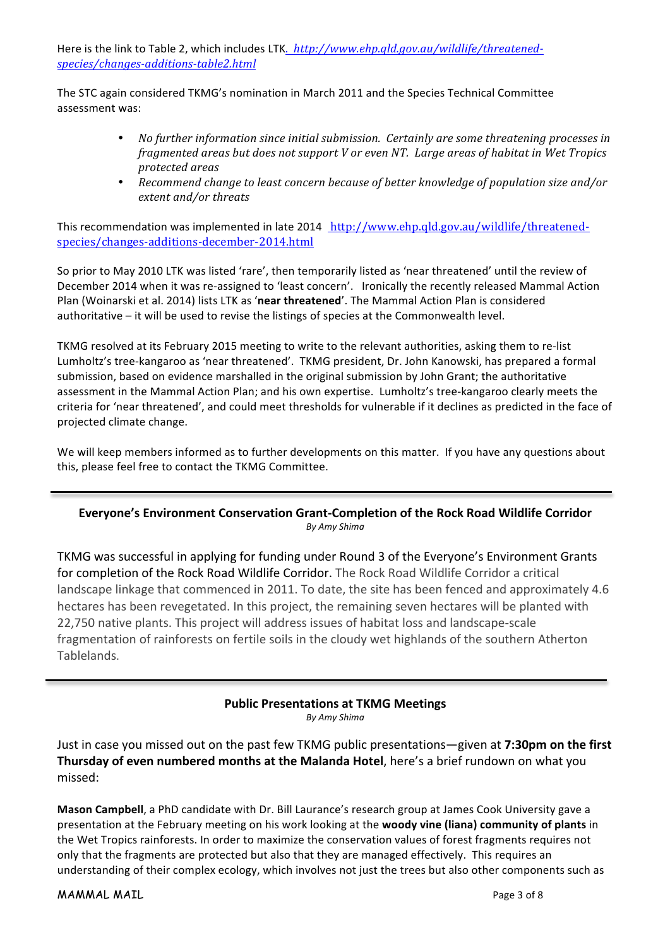Here is the link to Table 2, which includes LTK. http://www.ehp.qld.gov.au/wildlife/threatened*species/changes-additions-table2.html*

The STC again considered TKMG's nomination in March 2011 and the Species Technical Committee assessment was:

- *No further information since initial submission. Certainly are some threatening processes in fragmented areas but does not support V or even NT. Large areas of habitat in Wet Tropics protected areas*
- Recommend change to least concern because of better knowledge of population size and/or *extent and/or threats*

This recommendation was implemented in late 2014 http://www.ehp.qld.gov.au/wildlife/threatenedspecies/changes-additions-december-2014.html

So prior to May 2010 LTK was listed 'rare', then temporarily listed as 'near threatened' until the review of December 2014 when it was re-assigned to 'least concern'. Ironically the recently released Mammal Action Plan (Woinarski et al. 2014) lists LTK as 'near threatened'. The Mammal Action Plan is considered authoritative  $-$  it will be used to revise the listings of species at the Commonwealth level.

TKMG resolved at its February 2015 meeting to write to the relevant authorities, asking them to re-list Lumholtz's tree-kangaroo as 'near threatened'. TKMG president, Dr. John Kanowski, has prepared a formal submission, based on evidence marshalled in the original submission by John Grant; the authoritative assessment in the Mammal Action Plan; and his own expertise. Lumholtz's tree-kangaroo clearly meets the criteria for 'near threatened', and could meet thresholds for vulnerable if it declines as predicted in the face of projected climate change.

We will keep members informed as to further developments on this matter. If you have any questions about this, please feel free to contact the TKMG Committee.

#### Everyone's Environment Conservation Grant-Completion of the Rock Road Wildlife Corridor *By Amy Shima*

TKMG was successful in applying for funding under Round 3 of the Everyone's Environment Grants for completion of the Rock Road Wildlife Corridor. The Rock Road Wildlife Corridor a critical landscape linkage that commenced in 2011. To date, the site has been fenced and approximately 4.6 hectares has been revegetated. In this project, the remaining seven hectares will be planted with 22,750 native plants. This project will address issues of habitat loss and landscape-scale fragmentation of rainforests on fertile soils in the cloudy wet highlands of the southern Atherton Tablelands. 

# **Public Presentations at TKMG Meetings**

*By Amy Shima*

Just in case you missed out on the past few TKMG public presentations—given at 7:30pm on the first **Thursday of even numbered months at the Malanda Hotel**, here's a brief rundown on what you missed:

**Mason Campbell**, a PhD candidate with Dr. Bill Laurance's research group at James Cook University gave a presentation at the February meeting on his work looking at the **woody vine (liana) community of plants** in the Wet Tropics rainforests. In order to maximize the conservation values of forest fragments requires not only that the fragments are protected but also that they are managed effectively. This requires an understanding of their complex ecology, which involves not just the trees but also other components such as

MAMMAL MAIL Page 3 of 8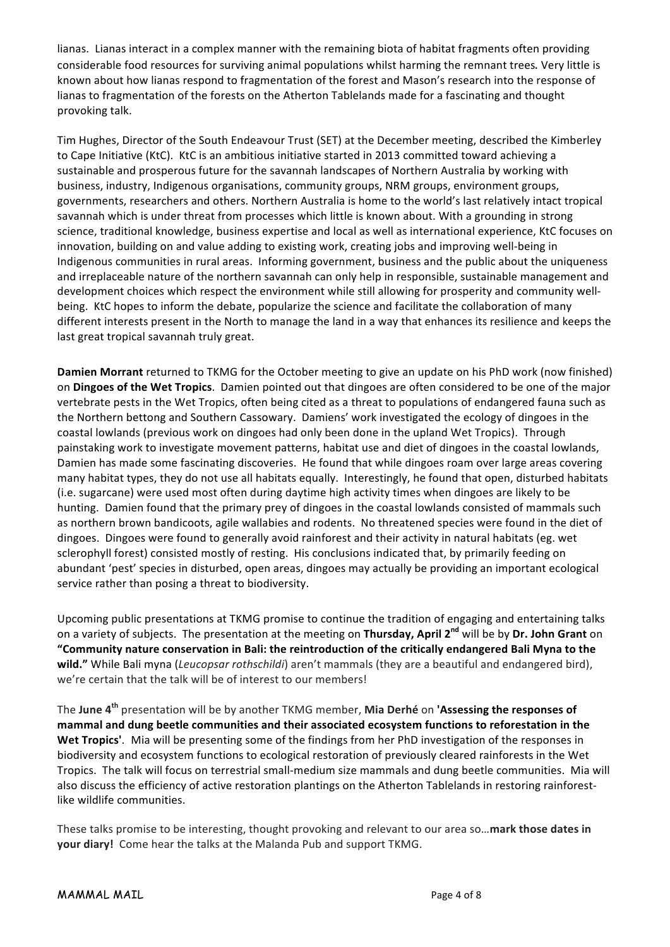lianas. Lianas interact in a complex manner with the remaining biota of habitat fragments often providing considerable food resources for surviving animal populations whilst harming the remnant trees. Very little is known about how lianas respond to fragmentation of the forest and Mason's research into the response of lianas to fragmentation of the forests on the Atherton Tablelands made for a fascinating and thought provoking talk.

Tim Hughes, Director of the South Endeavour Trust (SET) at the December meeting, described the Kimberley to Cape Initiative (KtC). KtC is an ambitious initiative started in 2013 committed toward achieving a sustainable and prosperous future for the savannah landscapes of Northern Australia by working with business, industry, Indigenous organisations, community groups, NRM groups, environment groups, governments, researchers and others. Northern Australia is home to the world's last relatively intact tropical savannah which is under threat from processes which little is known about. With a grounding in strong science, traditional knowledge, business expertise and local as well as international experience, KtC focuses on innovation, building on and value adding to existing work, creating jobs and improving well-being in Indigenous communities in rural areas. Informing government, business and the public about the uniqueness and irreplaceable nature of the northern savannah can only help in responsible, sustainable management and development choices which respect the environment while still allowing for prosperity and community wellbeing. KtC hopes to inform the debate, popularize the science and facilitate the collaboration of many different interests present in the North to manage the land in a way that enhances its resilience and keeps the last great tropical savannah truly great.

**Damien Morrant** returned to TKMG for the October meeting to give an update on his PhD work (now finished) on **Dingoes of the Wet Tropics**. Damien pointed out that dingoes are often considered to be one of the major vertebrate pests in the Wet Tropics, often being cited as a threat to populations of endangered fauna such as the Northern bettong and Southern Cassowary. Damiens' work investigated the ecology of dingoes in the coastal lowlands (previous work on dingoes had only been done in the upland Wet Tropics). Through painstaking work to investigate movement patterns, habitat use and diet of dingoes in the coastal lowlands, Damien has made some fascinating discoveries. He found that while dingoes roam over large areas covering many habitat types, they do not use all habitats equally. Interestingly, he found that open, disturbed habitats (i.e. sugarcane) were used most often during daytime high activity times when dingoes are likely to be hunting. Damien found that the primary prey of dingoes in the coastal lowlands consisted of mammals such as northern brown bandicoots, agile wallabies and rodents. No threatened species were found in the diet of dingoes. Dingoes were found to generally avoid rainforest and their activity in natural habitats (eg. wet sclerophyll forest) consisted mostly of resting. His conclusions indicated that, by primarily feeding on abundant 'pest' species in disturbed, open areas, dingoes may actually be providing an important ecological service rather than posing a threat to biodiversity.

Upcoming public presentations at TKMG promise to continue the tradition of engaging and entertaining talks on a variety of subjects. The presentation at the meeting on **Thursday, April 2<sup>nd</sup> will be by Dr. John Grant** on **"Community nature conservation in Bali: the reintroduction of the critically endangered Bali Myna to the wild."** While Bali myna (*Leucopsar rothschildi*) aren't mammals (they are a beautiful and endangered bird), we're certain that the talk will be of interest to our members!

The June 4<sup>th</sup> presentation will be by another TKMG member, Mia Derhé on 'Assessing the responses of mammal and dung beetle communities and their associated ecosystem functions to reforestation in the Wet Tropics'. Mia will be presenting some of the findings from her PhD investigation of the responses in biodiversity and ecosystem functions to ecological restoration of previously cleared rainforests in the Wet Tropics. The talk will focus on terrestrial small-medium size mammals and dung beetle communities. Mia will also discuss the efficiency of active restoration plantings on the Atherton Tablelands in restoring rainforestlike wildlife communities.

These talks promise to be interesting, thought provoking and relevant to our area so... mark those dates in **your diary!** Come hear the talks at the Malanda Pub and support TKMG.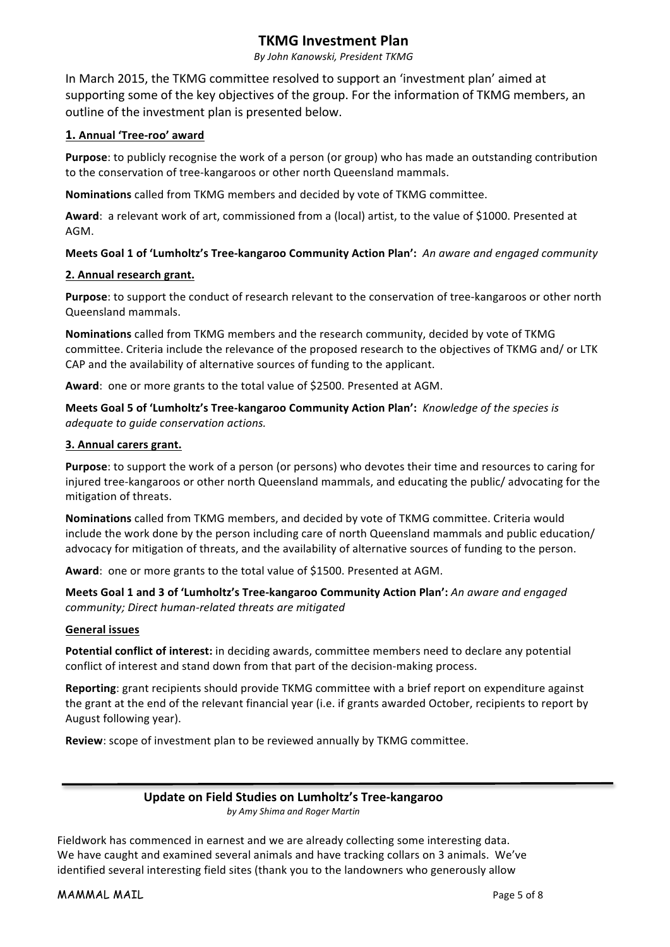### **TKMG** Investment Plan

*By John Kanowski, President TKMG*

In March 2015, the TKMG committee resolved to support an 'investment plan' aimed at supporting some of the key objectives of the group. For the information of TKMG members, an outline of the investment plan is presented below.

#### **1. Annual 'Tree-roo' award**

**Purpose**: to publicly recognise the work of a person (or group) who has made an outstanding contribution to the conservation of tree-kangaroos or other north Queensland mammals.

**Nominations** called from TKMG members and decided by vote of TKMG committee.

Award: a relevant work of art, commissioned from a (local) artist, to the value of \$1000. Presented at AGM.

#### **Meets Goal 1 of 'Lumholtz's Tree-kangaroo Community Action Plan':** An aware and engaged community

#### **2. Annual research grant.**

**Purpose**: to support the conduct of research relevant to the conservation of tree-kangaroos or other north Queensland mammals.

**Nominations** called from TKMG members and the research community, decided by vote of TKMG committee. Criteria include the relevance of the proposed research to the objectives of TKMG and/ or LTK CAP and the availability of alternative sources of funding to the applicant.

Award: one or more grants to the total value of \$2500. Presented at AGM.

**Meets Goal 5 of 'Lumholtz's Tree-kangaroo Community Action Plan':** *Knowledge of the species is adequate to guide conservation actions.*

#### **3. Annual carers grant.**

**Purpose**: to support the work of a person (or persons) who devotes their time and resources to caring for injured tree-kangaroos or other north Queensland mammals, and educating the public/ advocating for the mitigation of threats.

**Nominations** called from TKMG members, and decided by vote of TKMG committee. Criteria would include the work done by the person including care of north Queensland mammals and public education/ advocacy for mitigation of threats, and the availability of alternative sources of funding to the person.

Award: one or more grants to the total value of \$1500. Presented at AGM.

**Meets Goal 1 and 3 of 'Lumholtz's Tree-kangaroo Community Action Plan':** An aware and engaged *community; Direct human-related threats are mitigated*

#### **General issues**

**Potential conflict of interest:** in deciding awards, committee members need to declare any potential conflict of interest and stand down from that part of the decision-making process.

**Reporting**: grant recipients should provide TKMG committee with a brief report on expenditure against the grant at the end of the relevant financial year (i.e. if grants awarded October, recipients to report by August following year).

**Review:** scope of investment plan to be reviewed annually by TKMG committee.

#### **Update on Field Studies on Lumholtz's Tree-kangaroo** *by Amy Shima and Roger Martin*

Fieldwork has commenced in earnest and we are already collecting some interesting data. We have caught and examined several animals and have tracking collars on 3 animals. We've identified several interesting field sites (thank you to the landowners who generously allow

MAMMAL MAIL **MAMMAL MAIL Page 5 of 8**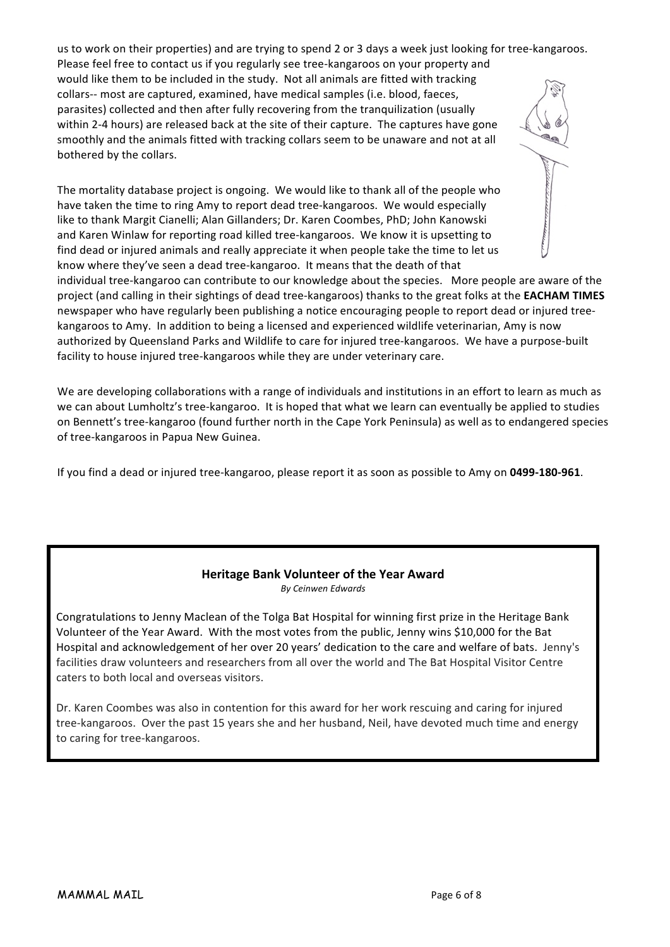us to work on their properties) and are trying to spend 2 or 3 days a week just looking for tree-kangaroos. Please feel free to contact us if you regularly see tree-kangaroos on your property and would like them to be included in the study. Not all animals are fitted with tracking collars-- most are captured, examined, have medical samples (i.e. blood, faeces, parasites) collected and then after fully recovering from the tranquilization (usually within 2-4 hours) are released back at the site of their capture. The captures have gone smoothly and the animals fitted with tracking collars seem to be unaware and not at all bothered by the collars.

The mortality database project is ongoing. We would like to thank all of the people who have taken the time to ring Amy to report dead tree-kangaroos. We would especially like to thank Margit Cianelli; Alan Gillanders; Dr. Karen Coombes, PhD; John Kanowski and Karen Winlaw for reporting road killed tree-kangaroos. We know it is upsetting to find dead or injured animals and really appreciate it when people take the time to let us know where they've seen a dead tree-kangaroo. It means that the death of that



individual tree-kangaroo can contribute to our knowledge about the species. More people are aware of the project (and calling in their sightings of dead tree-kangaroos) thanks to the great folks at the **EACHAM TIMES** newspaper who have regularly been publishing a notice encouraging people to report dead or injured treekangaroos to Amy. In addition to being a licensed and experienced wildlife veterinarian, Amy is now authorized by Queensland Parks and Wildlife to care for injured tree-kangaroos. We have a purpose-built facility to house injured tree-kangaroos while they are under veterinary care.

We are developing collaborations with a range of individuals and institutions in an effort to learn as much as we can about Lumholtz's tree-kangaroo. It is hoped that what we learn can eventually be applied to studies on Bennett's tree-kangaroo (found further north in the Cape York Peninsula) as well as to endangered species of tree-kangaroos in Papua New Guinea.

If you find a dead or injured tree-kangaroo, please report it as soon as possible to Amy on 0499-180-961.

#### **Heritage Bank Volunteer of the Year Award** *By Ceinwen Edwards*

Congratulations to Jenny Maclean of the Tolga Bat Hospital for winning first prize in the Heritage Bank Volunteer of the Year Award. With the most votes from the public, Jenny wins \$10,000 for the Bat Hospital and acknowledgement of her over 20 years' dedication to the care and welfare of bats. Jenny's facilities draw volunteers and researchers from all over the world and The Bat Hospital Visitor Centre caters to both local and overseas visitors.

Dr. Karen Coombes was also in contention for this award for her work rescuing and caring for injured tree-kangaroos. Over the past 15 years she and her husband, Neil, have devoted much time and energy to caring for tree-kangaroos.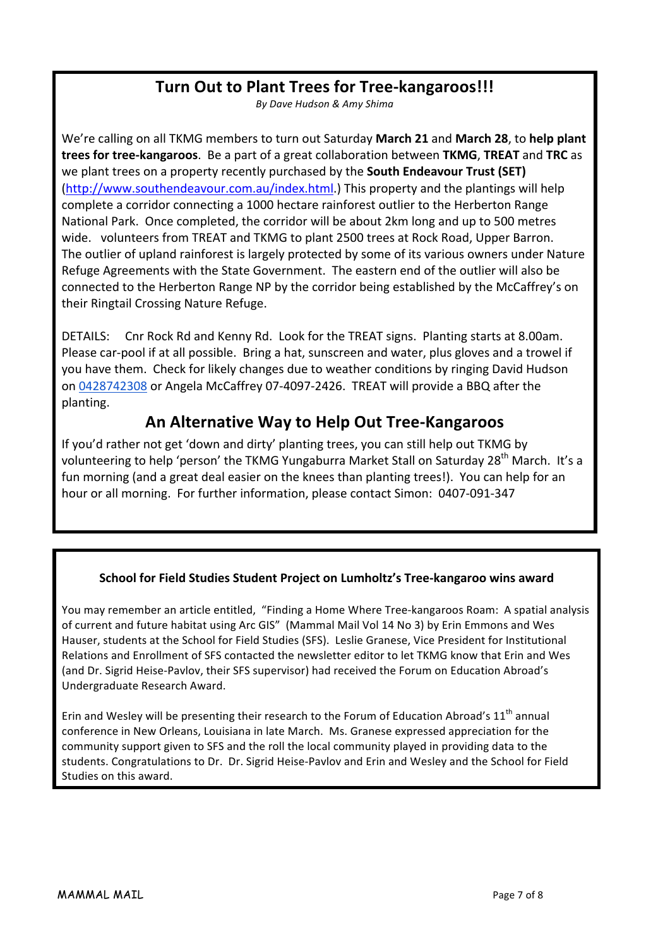# Turn Out to Plant Trees for Tree-kangaroos!!!

*By Dave Hudson & Amy Shima*

We're calling on all TKMG members to turn out Saturday March 21 and March 28, to help plant **trees for tree-kangaroos**. Be a part of a great collaboration between TKMG, TREAT and TRC as we plant trees on a property recently purchased by the **South Endeavour Trust (SET)** (http://www.southendeavour.com.au/index.html.) This property and the plantings will help complete a corridor connecting a 1000 hectare rainforest outlier to the Herberton Range National Park. Once completed, the corridor will be about 2km long and up to 500 metres wide. volunteers from TREAT and TKMG to plant 2500 trees at Rock Road, Upper Barron. The outlier of upland rainforest is largely protected by some of its various owners under Nature Refuge Agreements with the State Government. The eastern end of the outlier will also be connected to the Herberton Range NP by the corridor being established by the McCaffrey's on their Ringtail Crossing Nature Refuge.

DETAILS: Cnr Rock Rd and Kenny Rd. Look for the TREAT signs. Planting starts at 8.00am. Please car-pool if at all possible. Bring a hat, sunscreen and water, plus gloves and a trowel if you have them. Check for likely changes due to weather conditions by ringing David Hudson on 0428742308 or Angela McCaffrey 07-4097-2426. TREAT will provide a BBQ after the planting.

# **An Alternative Way to Help Out Tree-Kangaroos**

If you'd rather not get 'down and dirty' planting trees, you can still help out TKMG by volunteering to help 'person' the TKMG Yungaburra Market Stall on Saturday 28<sup>th</sup> March. It's a fun morning (and a great deal easier on the knees than planting trees!). You can help for an hour or all morning. For further information, please contact Simon: 0407-091-347

## **School for Field Studies Student Project on Lumholtz's Tree-kangaroo wins award**

You may remember an article entitled, "Finding a Home Where Tree-kangaroos Roam: A spatial analysis of current and future habitat using Arc GIS" (Mammal Mail Vol 14 No 3) by Erin Emmons and Wes Hauser, students at the School for Field Studies (SFS). Leslie Granese, Vice President for Institutional Relations and Enrollment of SFS contacted the newsletter editor to let TKMG know that Erin and Wes (and Dr. Sigrid Heise-Pavlov, their SFS supervisor) had received the Forum on Education Abroad's Undergraduate Research Award.

Erin and Wesley will be presenting their research to the Forum of Education Abroad's  $11<sup>th</sup>$  annual conference in New Orleans, Louisiana in late March. Ms. Granese expressed appreciation for the community support given to SFS and the roll the local community played in providing data to the students. Congratulations to Dr. Dr. Sigrid Heise-Pavlov and Erin and Wesley and the School for Field Studies on this award.